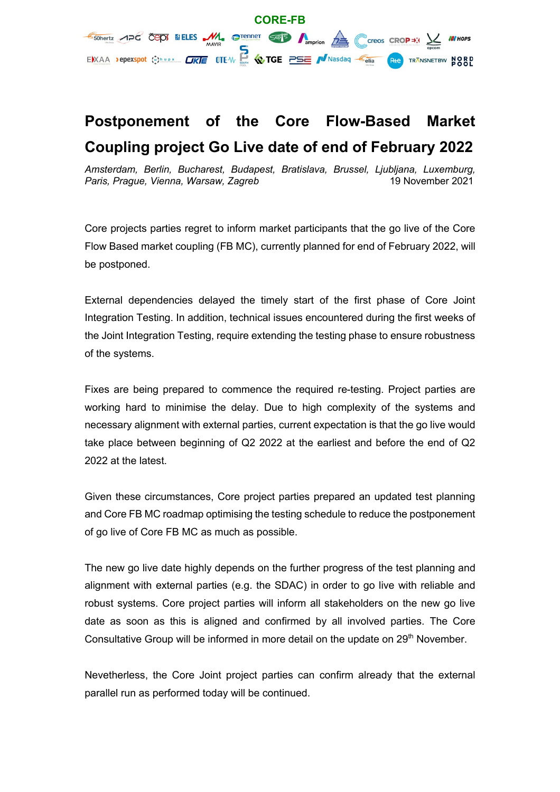

## **Postponement of the Core Flow-Based Market Coupling project Go Live date of end of February 2022**

*Amsterdam, Berlin, Bucharest, Budapest, Bratislava, Brussel, Ljubljana, Luxemburg, Paris, Prague, Vienna, Warsaw, Zagreb* 19 November 2021

Core projects parties regret to inform market participants that the go live of the Core Flow Based market coupling (FB MC), currently planned for end of February 2022, will be postponed.

External dependencies delayed the timely start of the first phase of Core Joint Integration Testing. In addition, technical issues encountered during the first weeks of the Joint Integration Testing, require extending the testing phase to ensure robustness of the systems.

Fixes are being prepared to commence the required re-testing. Project parties are working hard to minimise the delay. Due to high complexity of the systems and necessary alignment with external parties, current expectation is that the go live would take place between beginning of Q2 2022 at the earliest and before the end of Q2 2022 at the latest.

Given these circumstances, Core project parties prepared an updated test planning and Core FB MC roadmap optimising the testing schedule to reduce the postponement of go live of Core FB MC as much as possible.

The new go live date highly depends on the further progress of the test planning and alignment with external parties (e.g. the SDAC) in order to go live with reliable and robust systems. Core project parties will inform all stakeholders on the new go live date as soon as this is aligned and confirmed by all involved parties. The Core Consultative Group will be informed in more detail on the update on 29<sup>th</sup> November.

Nevetherless, the Core Joint project parties can confirm already that the external parallel run as performed today will be continued.